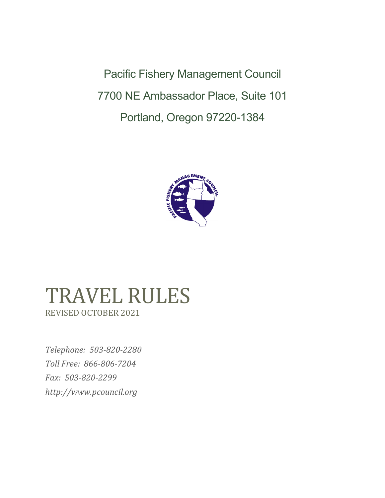Pacific Fishery Management Council 7700 NE Ambassador Place, Suite 101 Portland, Oregon 97220-1384



# TRAVEL RULES REVISED OCTOBER 2021

*Telephone: 503-820-2280 Toll Free: 866-806-7204 Fax: 503-820-2299 [http://www.pcouncil.org](http://www.pcouncil.org/)*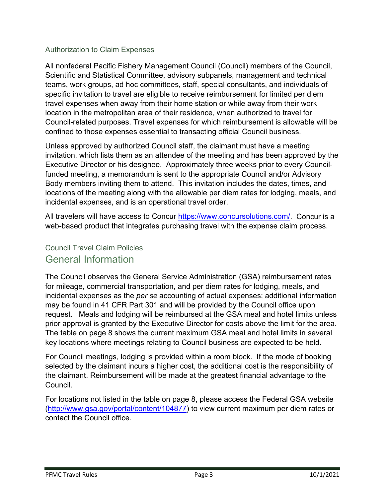#### <span id="page-2-0"></span>Authorization to Claim Expenses

All nonfederal Pacific Fishery Management Council (Council) members of the Council, Scientific and Statistical Committee, advisory subpanels, management and technical teams, work groups, ad hoc committees, staff, special consultants, and individuals of specific invitation to travel are eligible to receive reimbursement for limited per diem travel expenses when away from their home station or while away from their work location in the metropolitan area of their residence, when authorized to travel for Council-related purposes. Travel expenses for which reimbursement is allowable will be confined to those expenses essential to transacting official Council business.

Unless approved by authorized Council staff, the claimant must have a meeting invitation, which lists them as an attendee of the meeting and has been approved by the Executive Director or his designee. Approximately three weeks prior to every Councilfunded meeting, a memorandum is sent to the appropriate Council and/or Advisory Body members inviting them to attend. This invitation includes the dates, times, and locations of the meeting along with the allowable per diem rates for lodging, meals, and incidental expenses, and is an operational travel order.

All travelers will have access to Concur [https://www.concursolutions.com/.](https://www.concursolutions.com/) Concur is a web-based product that integrates purchasing travel with the expense claim process.

### <span id="page-2-2"></span><span id="page-2-1"></span>Council Travel Claim Policies General Information

The Council observes the General Service Administration (GSA) reimbursement rates for mileage, commercial transportation, and per diem rates for lodging, meals, and incidental expenses as the *per se* accounting of actual expenses; additional information may be found in 41 CFR Part 301 and will be provided by the Council office upon request. Meals and lodging will be reimbursed at the GSA meal and hotel limits unless prior approval is granted by the Executive Director for costs above the limit for the area. The table on page 8 shows the current maximum GSA meal and hotel limits in several key locations where meetings relating to Council business are expected to be held.

For Council meetings, lodging is provided within a room block. If the mode of booking selected by the claimant incurs a higher cost, the additional cost is the responsibility of the claimant. Reimbursement will be made at the greatest financial advantage to the Council.

For locations not listed in the table on page 8, please access the Federal GSA website [\(http://www.gsa.gov/portal/content/104877\)](http://www.gsa.gov/portal/content/104877) to view current maximum per diem rates or contact the Council office.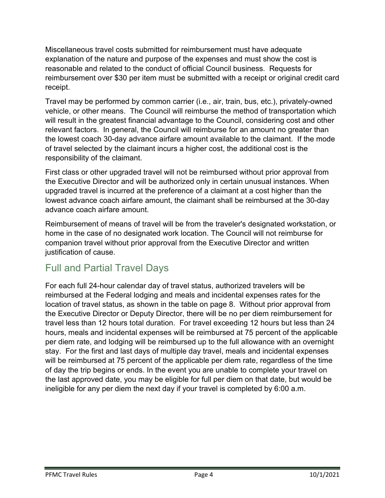Miscellaneous travel costs submitted for reimbursement must have adequate explanation of the nature and purpose of the expenses and must show the cost is reasonable and related to the conduct of official Council business. Requests for reimbursement over \$30 per item must be submitted with a receipt or original credit card receipt.

Travel may be performed by common carrier (i.e., air, train, bus, etc.), privately-owned vehicle, or other means. The Council will reimburse the method of transportation which will result in the greatest financial advantage to the Council, considering cost and other relevant factors. In general, the Council will reimburse for an amount no greater than the lowest coach 30-day advance airfare amount available to the claimant. If the mode of travel selected by the claimant incurs a higher cost, the additional cost is the responsibility of the claimant.

First class or other upgraded travel will not be reimbursed without prior approval from the Executive Director and will be authorized only in certain unusual instances. When upgraded travel is incurred at the preference of a claimant at a cost higher than the lowest advance coach airfare amount, the claimant shall be reimbursed at the 30-day advance coach airfare amount.

Reimbursement of means of travel will be from the traveler's designated workstation, or home in the case of no designated work location. The Council will not reimburse for companion travel without prior approval from the Executive Director and written justification of cause.

# <span id="page-3-0"></span>Full and Partial Travel Days

For each full 24-hour calendar day of travel status, authorized travelers will be reimbursed at the Federal lodging and meals and incidental expenses rates for the location of travel status, as shown in the table on page 8. Without prior approval from the Executive Director or Deputy Director, there will be no per diem reimbursement for travel less than 12 hours total duration. For travel exceeding 12 hours but less than 24 hours, meals and incidental expenses will be reimbursed at 75 percent of the applicable per diem rate, and lodging will be reimbursed up to the full allowance with an overnight stay. For the first and last days of multiple day travel, meals and incidental expenses will be reimbursed at 75 percent of the applicable per diem rate, regardless of the time of day the trip begins or ends. In the event you are unable to complete your travel on the last approved date, you may be eligible for full per diem on that date, but would be ineligible for any per diem the next day if your travel is completed by 6:00 a.m.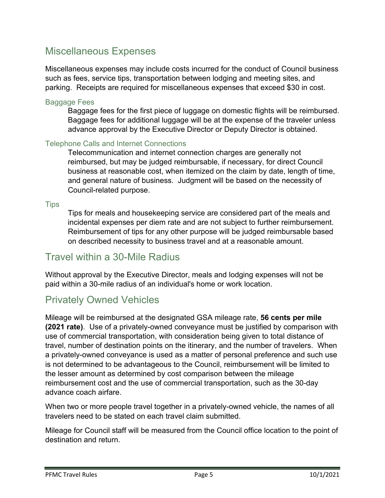# <span id="page-4-0"></span>Miscellaneous Expenses

Miscellaneous expenses may include costs incurred for the conduct of Council business such as fees, service tips, transportation between lodging and meeting sites, and parking. Receipts are required for miscellaneous expenses that exceed \$30 in cost.

#### <span id="page-4-1"></span>Baggage Fees

Baggage fees for the first piece of luggage on domestic flights will be reimbursed. Baggage fees for additional luggage will be at the expense of the traveler unless advance approval by the Executive Director or Deputy Director is obtained.

#### <span id="page-4-2"></span>Telephone Calls and Internet Connections

Telecommunication and internet connection charges are generally not reimbursed, but may be judged reimbursable, if necessary, for direct Council business at reasonable cost, when itemized on the claim by date, length of time, and general nature of business. Judgment will be based on the necessity of Council-related purpose.

<span id="page-4-3"></span>**Tips** 

Tips for meals and housekeeping service are considered part of the meals and incidental expenses per diem rate and are not subject to further reimbursement. Reimbursement of tips for any other purpose will be judged reimbursable based on described necessity to business travel and at a reasonable amount.

# <span id="page-4-4"></span>Travel within a 30-Mile Radius

Without approval by the Executive Director, meals and lodging expenses will not be paid within a 30-mile radius of an individual's home or work location.

# <span id="page-4-5"></span>Privately Owned Vehicles

Mileage will be reimbursed at the designated GSA mileage rate, **56 cents per mile (2021 rate)**. Use of a privately-owned conveyance must be justified by comparison with use of commercial transportation, with consideration being given to total distance of travel, number of destination points on the itinerary, and the number of travelers. When a privately-owned conveyance is used as a matter of personal preference and such use is not determined to be advantageous to the Council, reimbursement will be limited to the lesser amount as determined by cost comparison between the mileage reimbursement cost and the use of commercial transportation, such as the 30-day advance coach airfare.

When two or more people travel together in a privately-owned vehicle, the names of all travelers need to be stated on each travel claim submitted.

Mileage for Council staff will be measured from the Council office location to the point of destination and return.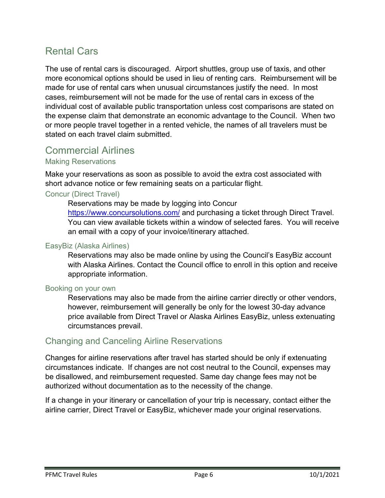# <span id="page-5-0"></span>Rental Cars

The use of rental cars is discouraged. Airport shuttles, group use of taxis, and other more economical options should be used in lieu of renting cars. Reimbursement will be made for use of rental cars when unusual circumstances justify the need. In most cases, reimbursement will not be made for the use of rental cars in excess of the individual cost of available public transportation unless cost comparisons are stated on the expense claim that demonstrate an economic advantage to the Council. When two or more people travel together in a rented vehicle, the names of all travelers must be stated on each travel claim submitted.

## <span id="page-5-1"></span>Commercial Airlines

#### <span id="page-5-2"></span>Making Reservations

Make your reservations as soon as possible to avoid the extra cost associated with short advance notice or few remaining seats on a particular flight.

#### Concur (Direct Travel)

Reservations may be made by logging into Concur <https://www.concursolutions.com/> and purchasing a ticket through Direct Travel. You can view available tickets within a window of selected fares. You will receive an email with a copy of your invoice/itinerary attached.

#### EasyBiz (Alaska Airlines)

Reservations may also be made online by using the Council's EasyBiz account with Alaska Airlines. Contact the Council office to enroll in this option and receive appropriate information.

#### Booking on your own

Reservations may also be made from the airline carrier directly or other vendors, however, reimbursement will generally be only for the lowest 30-day advance price available from Direct Travel or Alaska Airlines EasyBiz, unless extenuating circumstances prevail.

#### <span id="page-5-3"></span>Changing and Canceling Airline Reservations

Changes for airline reservations after travel has started should be only if extenuating circumstances indicate. If changes are not cost neutral to the Council, expenses may be disallowed, and reimbursement requested. Same day change fees may not be authorized without documentation as to the necessity of the change.

If a change in your itinerary or cancellation of your trip is necessary, contact either the airline carrier, Direct Travel or EasyBiz, whichever made your original reservations.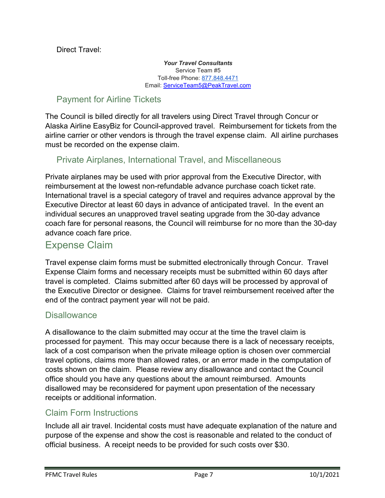Direct Travel:

*Your Travel Consultants* Service Team #5 Toll-free Phone: [877.848.4471](tel:877.848.4471) Email: [ServiceTeam5@PeakTravel.com](mailto:ServiceTeam5@PeakTravel.com)

### <span id="page-6-0"></span>Payment for Airline Tickets

The Council is billed directly for all travelers using Direct Travel through Concur or Alaska Airline EasyBiz for Council-approved travel. Reimbursement for tickets from the airline carrier or other vendors is through the travel expense claim. All airline purchases must be recorded on the expense claim.

### <span id="page-6-1"></span>Private Airplanes, International Travel, and Miscellaneous

Private airplanes may be used with prior approval from the Executive Director, with reimbursement at the lowest non-refundable advance purchase coach ticket rate. International travel is a special category of travel and requires advance approval by the Executive Director at least 60 days in advance of anticipated travel. In the event an individual secures an unapproved travel seating upgrade from the 30-day advance coach fare for personal reasons, the Council will reimburse for no more than the 30-day advance coach fare price.

# <span id="page-6-2"></span>Expense Claim

Travel expense claim forms must be submitted electronically through Concur. Travel Expense Claim forms and necessary receipts must be submitted within 60 days after travel is completed. Claims submitted after 60 days will be processed by approval of the Executive Director or designee. Claims for travel reimbursement received after the end of the contract payment year will not be paid.

#### <span id="page-6-3"></span>**Disallowance**

A disallowance to the claim submitted may occur at the time the travel claim is processed for payment. This may occur because there is a lack of necessary receipts, lack of a cost comparison when the private mileage option is chosen over commercial travel options, claims more than allowed rates, or an error made in the computation of costs shown on the claim. Please review any disallowance and contact the Council office should you have any questions about the amount reimbursed. Amounts disallowed may be reconsidered for payment upon presentation of the necessary receipts or additional information.

### <span id="page-6-4"></span>Claim Form Instructions

Include all air travel. Incidental costs must have adequate explanation of the nature and purpose of the expense and show the cost is reasonable and related to the conduct of official business. A receipt needs to be provided for such costs over \$30.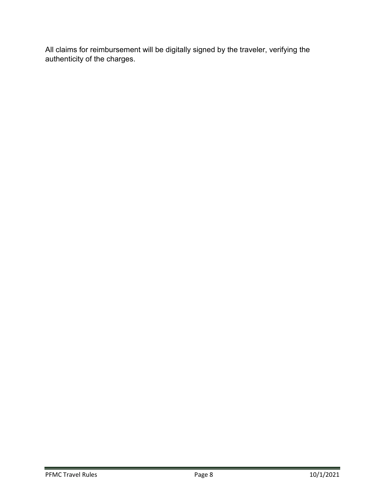All claims for reimbursement will be digitally signed by the traveler, verifying the authenticity of the charges.